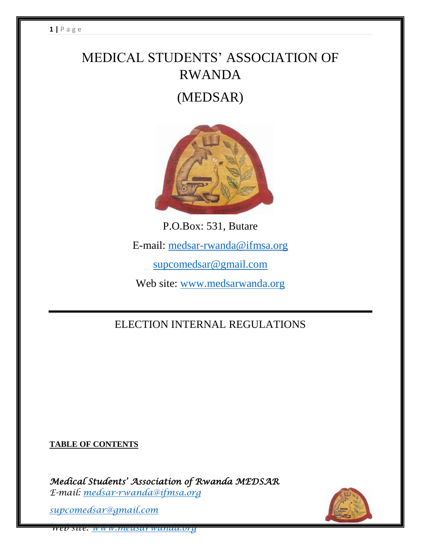# MEDICAL STUDENTS' ASSOCIATION OF RWANDA (MEDSAR)



P.O.Box: 531, Butare E-mail: [medsar-rwanda@ifmsa.org](mailto:medsar-rwanda@ifmsa.org) [supcomedsar@gmail.com](mailto:supcomedsar@gmail.com) Web site: [www.medsarwanda.org](http://www.medsarwanda.org/)

ELECTION INTERNAL REGULATIONS

**TABLE OF CONTENTS**

*Medical Students' Association of Rwanda MEDSAR E-mail: [medsar-rwanda@ifmsa.org](mailto:medsar-rwanda@ifmsa.org)*

*supcomedsar@gmail.com*

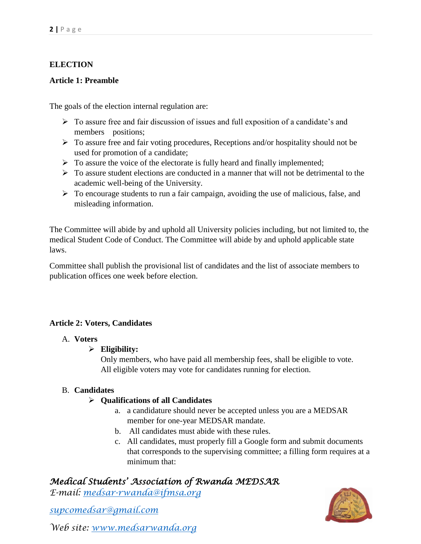#### **ELECTION**

#### **Article 1: Preamble**

The goals of the election internal regulation are:

- $\triangleright$  To assure free and fair discussion of issues and full exposition of a candidate's and members positions;
- To assure free and fair voting procedures, Receptions and/or hospitality should not be used for promotion of a candidate;
- $\triangleright$  To assure the voice of the electorate is fully heard and finally implemented;
- $\triangleright$  To assure student elections are conducted in a manner that will not be detrimental to the academic well-being of the University.
- > To encourage students to run a fair campaign, avoiding the use of malicious, false, and misleading information.

The Committee will abide by and uphold all University policies including, but not limited to, the medical Student Code of Conduct. The Committee will abide by and uphold applicable state laws.

Committee shall publish the provisional list of candidates and the list of associate members to publication offices one week before election.

#### **Article 2: Voters, Candidates**

#### A. **Voters**

#### **Eligibility:**

Only members, who have paid all membership fees, shall be eligible to vote. All eligible voters may vote for candidates running for election.

#### B. **Candidates**

#### **Qualifications of all Candidates**

- a. a candidature should never be accepted unless you are a MEDSAR member for one-year MEDSAR mandate.
- b. All candidates must abide with these rules.
- c. All candidates, must properly fill a Google form and submit documents that corresponds to the supervising committee; a filling form requires at a minimum that:

## *Medical Students' Association of Rwanda MEDSAR*

*E-mail: [medsar-rwanda@ifmsa.org](mailto:medsar-rwanda@ifmsa.org)*

*supcomedsar@gmail.com*

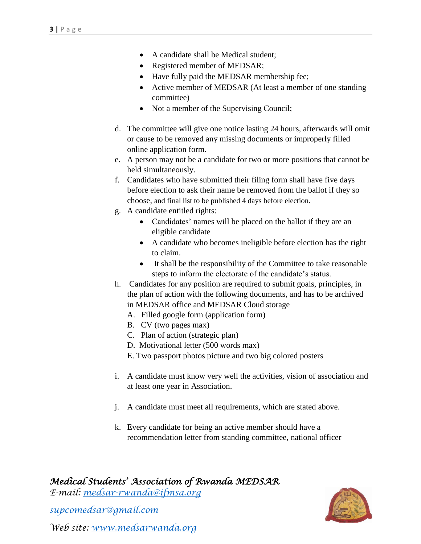- A candidate shall be Medical student;
- Registered member of MEDSAR;
- Have fully paid the MEDSAR membership fee;
- Active member of MEDSAR (At least a member of one standing committee)
- Not a member of the Supervising Council;
- d. The committee will give one notice lasting 24 hours, afterwards will omit or cause to be removed any missing documents or improperly filled online application form.
- e. A person may not be a candidate for two or more positions that cannot be held simultaneously.
- f. Candidates who have submitted their filing form shall have five days before election to ask their name be removed from the ballot if they so choose, and final list to be published 4 days before election.
- g. A candidate entitled rights:
	- Candidates' names will be placed on the ballot if they are an eligible candidate
	- A candidate who becomes ineligible before election has the right to claim.
	- It shall be the responsibility of the Committee to take reasonable steps to inform the electorate of the candidate's status.
- h. Candidates for any position are required to submit goals, principles, in the plan of action with the following documents, and has to be archived in MEDSAR office and MEDSAR Cloud storage
	- A. Filled google form (application form)
	- B. CV (two pages max)
	- C. Plan of action (strategic plan)
	- D. Motivational letter (500 words max)
	- E. Two passport photos picture and two big colored posters
- i. A candidate must know very well the activities, vision of association and at least one year in Association.
- j. A candidate must meet all requirements, which are stated above.
- k. Every candidate for being an active member should have a recommendation letter from standing committee, national officer

*E-mail: [medsar-rwanda@ifmsa.org](mailto:medsar-rwanda@ifmsa.org)*

*supcomedsar@gmail.com*

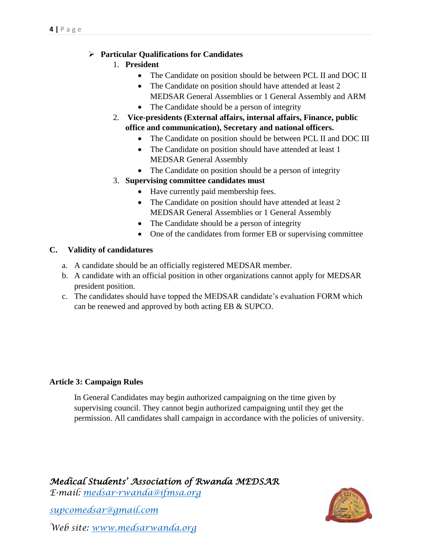#### **Particular Qualifications for Candidates**

- 1. **President**
	- The Candidate on position should be between PCL II and DOC II
	- The Candidate on position should have attended at least 2 MEDSAR General Assemblies or 1 General Assembly and ARM
	- The Candidate should be a person of integrity
- 2. **Vice-presidents (External affairs, internal affairs, Finance, public office and communication), Secretary and national officers.**
	- The Candidate on position should be between PCL II and DOC III
	- The Candidate on position should have attended at least 1 MEDSAR General Assembly
	- The Candidate on position should be a person of integrity

### 3. **Supervising committee candidates must**

- Have currently paid membership fees.
- The Candidate on position should have attended at least 2 MEDSAR General Assemblies or 1 General Assembly
- The Candidate should be a person of integrity
- One of the candidates from former EB or supervising committee

#### **C. Validity of candidatures**

- a. A candidate should be an officially registered MEDSAR member.
- b. A candidate with an official position in other organizations cannot apply for MEDSAR president position.
- c. The candidates should have topped the MEDSAR candidate's evaluation FORM which can be renewed and approved by both acting EB & SUPCO.

### **Article 3: Campaign Rules**

In General Candidates may begin authorized campaigning on the time given by supervising council. They cannot begin authorized campaigning until they get the permission. All candidates shall campaign in accordance with the policies of university.

*Medical Students' Association of Rwanda MEDSAR* 

*E-mail: [medsar-rwanda@ifmsa.org](mailto:medsar-rwanda@ifmsa.org)*

*supcomedsar@gmail.com*

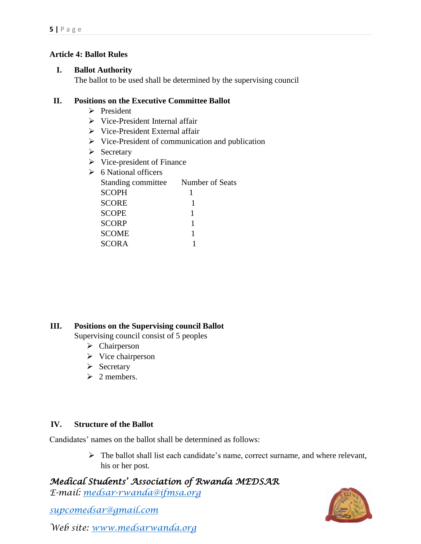#### **Article 4: Ballot Rules**

#### **I. Ballot Authority**

The ballot to be used shall be determined by the supervising council

#### **II. Positions on the Executive Committee Ballot**

- $\triangleright$  President
- $\triangleright$  Vice-President Internal affair
- Vice-President External affair
- $\triangleright$  Vice-President of communication and publication
- $\triangleright$  Secretary
- $\triangleright$  Vice-president of Finance

| 6 National officers |                 |
|---------------------|-----------------|
| Standing committee  | Number of Seats |
| <b>SCOPH</b>        |                 |
| <b>SCORE</b>        |                 |
| <b>SCOPE</b>        |                 |
| <b>SCORP</b>        |                 |
| <b>SCOME</b>        | 1               |
| <b>SCORA</b>        |                 |
|                     |                 |

### **III. Positions on the Supervising council Ballot**

Supervising council consist of 5 peoples

- > Chairperson
- $\triangleright$  Vice chairperson
- $\triangleright$  Secretary
- $\geq 2$  members.

### **IV. Structure of the Ballot**

Candidates' names on the ballot shall be determined as follows:

 $\triangleright$  The ballot shall list each candidate's name, correct surname, and where relevant, his or her post.

# *Medical Students' Association of Rwanda MEDSAR*

*E-mail: [medsar-rwanda@ifmsa.org](mailto:medsar-rwanda@ifmsa.org)*

*supcomedsar@gmail.com*